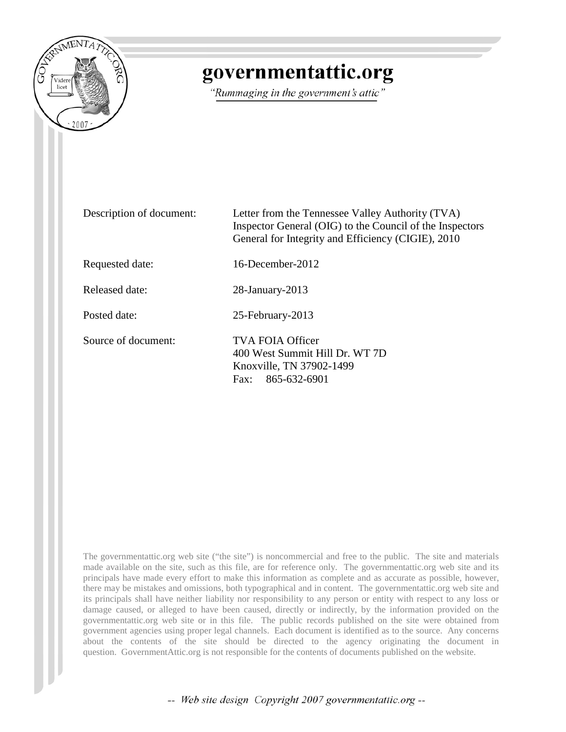

## governmentattic.org

"Rummaging in the government's attic"

| Description of document: | Letter from the Tennessee Valley Authority (TVA)<br>Inspector General (OIG) to the Council of the Inspectors<br>General for Integrity and Efficiency (CIGIE), 2010 |
|--------------------------|--------------------------------------------------------------------------------------------------------------------------------------------------------------------|
| Requested date:          | $16$ -December-2012                                                                                                                                                |
| Released date:           | $28$ -January- $2013$                                                                                                                                              |
| Posted date:             | 25-February-2013                                                                                                                                                   |
| Source of document:      | TVA FOIA Officer<br>400 West Summit Hill Dr. WT 7D<br>Knoxville, TN 37902-1499<br>865-632-6901<br>Fax:                                                             |

The governmentattic.org web site ("the site") is noncommercial and free to the public. The site and materials made available on the site, such as this file, are for reference only. The governmentattic.org web site and its principals have made every effort to make this information as complete and as accurate as possible, however, there may be mistakes and omissions, both typographical and in content. The governmentattic.org web site and its principals shall have neither liability nor responsibility to any person or entity with respect to any loss or damage caused, or alleged to have been caused, directly or indirectly, by the information provided on the governmentattic.org web site or in this file. The public records published on the site were obtained from government agencies using proper legal channels. Each document is identified as to the source. Any concerns about the contents of the site should be directed to the agency originating the document in question. GovernmentAttic.org is not responsible for the contents of documents published on the website.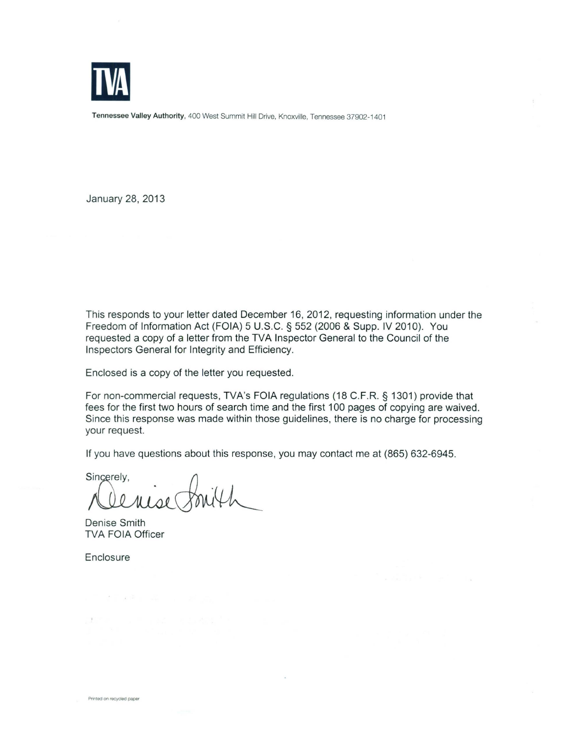

Tennessee Valley Authority, 400 West Summit Hill Drive, Knoxville, Tennessee 37902-1401

January 28, 2013

This responds to your letter dated December 16, 2012, requesting information under the Freedom of Information Act (FOIA) 5 U.S.C. § 552 (2006 & Supp. IV 2010). You requested a copy of a letter from the TVA Inspector General to the Council of the Inspectors General for Integrity and Efficiency.

Enclosed is a copy of the letter you requested.

For non-commercial requests, TVA's FOIA regulations (18 C.F.R. § 1301) provide that fees for the first two hours of search time and the first 100 pages of copying are waived. Since this response was made within those guidelines, there is no charge for processing your request.

If you have questions about this response, you may contact me at (865) 632-6945.

Sincerely.

Denise Smith TVA FOIA Officer

 $2 - 24 - 12$ 

**Enclosure** 

 $\mathcal{V}$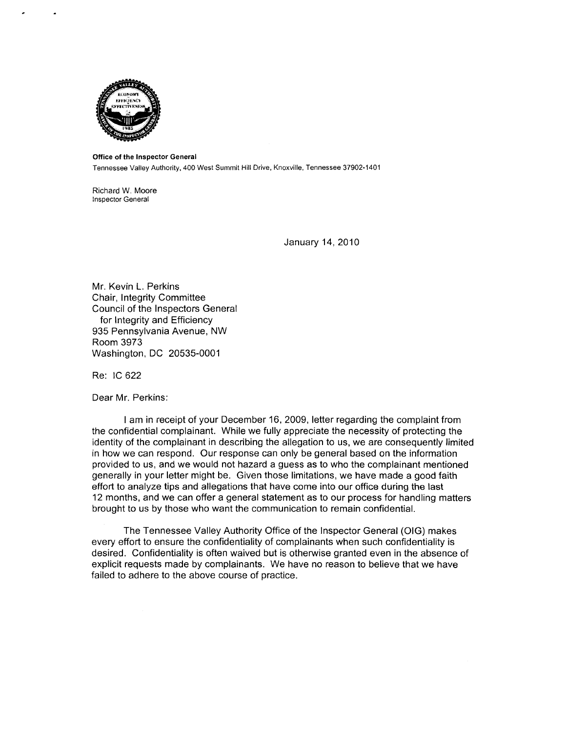

Office of the Inspector General

Tennessee Valley Authority, 400 West Summit Hill Drive, Knoxville, Tennessee 37902-1401

Richard W. Moore Inspector General

January 14, 2010

Mr. Kevin L. Perkins Chair, Integrity Committee Council of the Inspectors General for Integrity and Efficiency 935 Pennsylvania Avenue, NW Room 3973 Washington, DC 20535-0001

Re: IC 622

Dear Mr. Perkins:

I am in receipt of your December 16, 2009, letter regarding the complaint from the confidential complainant. While we fully appreciate the necessity of protecting the identity of the complainant in describing the allegation to us, we are consequently limited in how we can respond. Our response can only be general based on the information provided to us, and we would not hazard a guess as to who the complainant mentioned generally in your letter might be. Given those limitations, we have made a good faith effort to analyze tips and allegations that have come into our office during the last 12 months, and we can offer a general statement as to our process for handling matters brought to us by those who want the communication to remain confidential.

The Tennessee Valley Authority Office of the Inspector General (OIG) makes every effort to ensure the confidentiality of complainants when such confidentiality is desired. Confidentiality is often waived but is otherwise granted even in the absence of explicit requests made by complainants. We have no reason to believe that we have failed to adhere to the above course of practice.